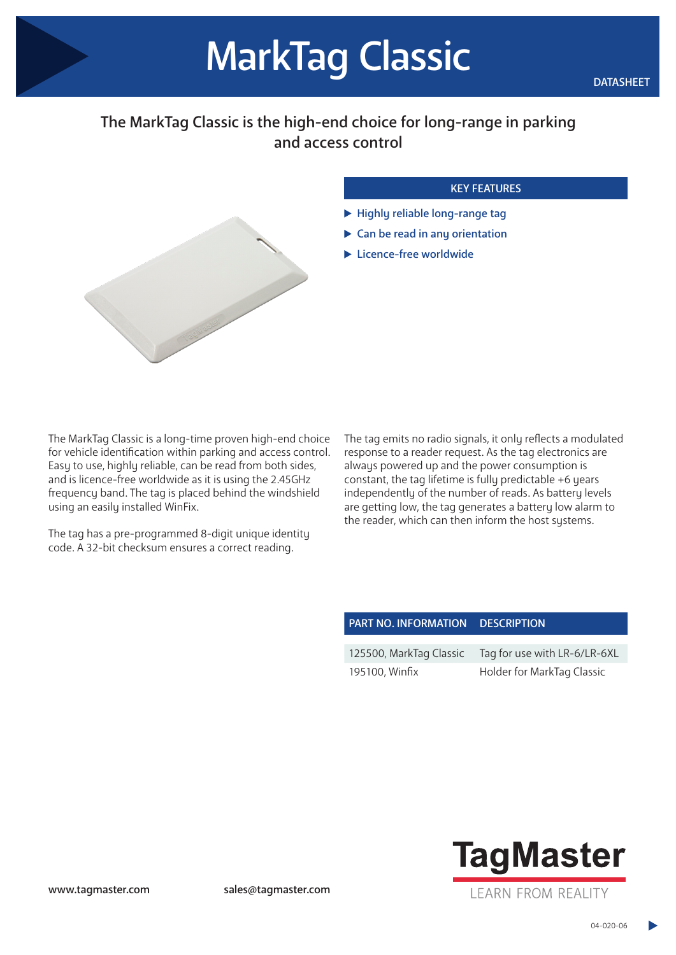## The MarkTag Classic is the high-end choice for long-range in parking and access control



## KEY FEATURES

- $\blacktriangleright$  Highly reliable long-range tag
- ▶ Can be read in any orientation
- **Licence-free worldwide**

The MarkTag Classic is a long-time proven high-end choice for vehicle identification within parking and access control. Easy to use, highly reliable, can be read from both sides, and is licence-free worldwide as it is using the 2.45GHz frequency band. The tag is placed behind the windshield using an easily installed WinFix.

The tag has a pre-programmed 8-digit unique identity code. A 32-bit checksum ensures a correct reading.

The tag emits no radio signals, it only reflects a modulated response to a reader request. As the tag electronics are always powered up and the power consumption is constant, the tag lifetime is fully predictable +6 years independently of the number of reads. As battery levels are getting low, the tag generates a battery low alarm to the reader, which can then inform the host systems.

## PART NO. INFORMATION DESCRIPTION

| 125500, MarkTag Classic | Tag for use with LR-6/LR-6XL |
|-------------------------|------------------------------|
| 195100, Winfix          | Holder for MarkTag Classic   |